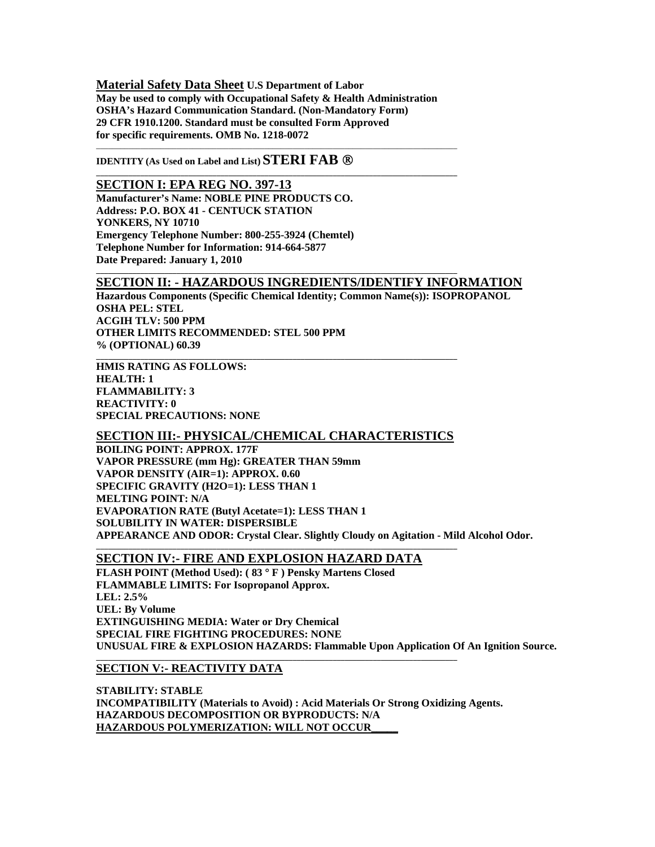**Material Safety Data Sheet U.S Department of Labor May be used to comply with Occupational Safety & Health Administration OSHA's Hazard Communication Standard. (Non-Mandatory Form) 29 CFR 1910.1200. Standard must be consulted Form Approved for specific requirements. OMB No. 1218-0072** 

\_\_\_\_\_\_\_\_\_\_\_\_\_\_\_\_\_\_\_\_\_\_\_\_\_\_\_\_\_\_\_\_\_\_\_\_\_\_\_\_\_\_\_\_\_\_\_\_\_\_\_\_\_\_\_\_\_\_\_\_\_\_\_\_\_\_\_\_\_\_\_\_\_\_\_\_\_\_\_\_\_\_\_\_\_\_\_\_\_\_

**\_\_\_\_\_\_\_\_\_\_\_\_\_\_\_\_\_\_\_\_\_\_\_\_\_\_\_\_\_\_\_\_\_\_\_\_\_\_\_\_\_\_\_\_\_\_\_\_\_\_\_\_\_\_\_\_\_\_\_\_\_\_\_\_\_\_\_\_\_\_\_\_\_\_\_\_\_\_\_\_\_\_\_\_\_\_\_\_\_\_** 

**\_\_\_\_\_\_\_\_\_\_\_\_\_\_\_\_\_\_\_\_\_\_\_\_\_\_\_\_\_\_\_\_\_\_\_\_\_\_\_\_\_\_\_\_\_\_\_\_\_\_\_\_\_\_\_\_\_\_\_\_\_\_\_\_\_\_\_\_\_\_\_\_\_\_\_\_\_\_\_\_\_\_\_\_\_\_\_\_\_\_** 

**\_\_\_\_\_\_\_\_\_\_\_\_\_\_\_\_\_\_\_\_\_\_\_\_\_\_\_\_\_\_\_\_\_\_\_\_\_\_\_\_\_\_\_\_\_\_\_\_\_\_\_\_\_\_\_\_\_\_\_\_\_\_\_\_\_\_\_\_\_\_\_\_\_\_\_\_\_\_\_\_\_\_\_\_\_\_\_\_\_\_** 

**IDENTITY** (As Used on Label and List) **STERI FAB** ®

**SECTION I: EPA REG NO. 397-13 Manufacturer's Name: NOBLE PINE PRODUCTS CO. Address: P.O. BOX 41 - CENTUCK STATION YONKERS, NY 10710 Emergency Telephone Number: 800-255-3924 (Chemtel) Telephone Number for Information: 914-664-5877 Date Prepared: January 1, 2010** 

## **SECTION II: - HAZARDOUS INGREDIENTS/IDENTIFY INFORMATION**

**Hazardous Components (Specific Chemical Identity; Common Name(s)): ISOPROPANOL OSHA PEL: STEL ACGIH TLV: 500 PPM OTHER LIMITS RECOMMENDED: STEL 500 PPM % (OPTIONAL) 60.39** 

**HMIS RATING AS FOLLOWS: HEALTH: 1 FLAMMABILITY: 3 REACTIVITY: 0 SPECIAL PRECAUTIONS: NONE** 

## **SECTION III:- PHYSICAL/CHEMICAL CHARACTERISTICS**

**BOILING POINT: APPROX. 177F VAPOR PRESSURE (mm Hg): GREATER THAN 59mm VAPOR DENSITY (AIR=1): APPROX. 0.60 SPECIFIC GRAVITY (H2O=1): LESS THAN 1 MELTING POINT: N/A EVAPORATION RATE (Butyl Acetate=1): LESS THAN 1 SOLUBILITY IN WATER: DISPERSIBLE APPEARANCE AND ODOR: Crystal Clear. Slightly Cloudy on Agitation - Mild Alcohol Odor. \_\_\_\_\_\_\_\_\_\_\_\_\_\_\_\_\_\_\_\_\_\_\_\_\_\_\_\_\_\_\_\_\_\_\_\_\_\_\_\_\_\_\_\_\_\_\_\_\_\_\_\_\_\_\_\_\_\_\_\_\_\_\_\_\_\_\_\_\_\_\_\_\_\_\_\_\_\_\_\_\_\_\_\_\_\_\_\_\_\_** 

# **SECTION IV:- FIRE AND EXPLOSION HAZARD DATA**

**FLASH POINT (Method Used): ( 83** ° **F ) Pensky Martens Closed FLAMMABLE LIMITS: For Isopropanol Approx. LEL: 2.5% UEL: By Volume EXTINGUISHING MEDIA: Water or Dry Chemical SPECIAL FIRE FIGHTING PROCEDURES: NONE UNUSUAL FIRE & EXPLOSION HAZARDS: Flammable Upon Application Of An Ignition Source.** 

### **SECTION V:- REACTIVITY DATA**

**STABILITY: STABLE INCOMPATIBILITY (Materials to Avoid) : Acid Materials Or Strong Oxidizing Agents. HAZARDOUS DECOMPOSITION OR BYPRODUCTS: N/A HAZARDOUS POLYMERIZATION: WILL NOT OCCUR\_\_\_\_\_**

**\_\_\_\_\_\_\_\_\_\_\_\_\_\_\_\_\_\_\_\_\_\_\_\_\_\_\_\_\_\_\_\_\_\_\_\_\_\_\_\_\_\_\_\_\_\_\_\_\_\_\_\_\_\_\_\_\_\_\_\_\_\_\_\_\_\_\_\_\_\_\_\_\_\_\_\_\_\_\_\_\_\_\_\_\_\_\_\_\_\_**